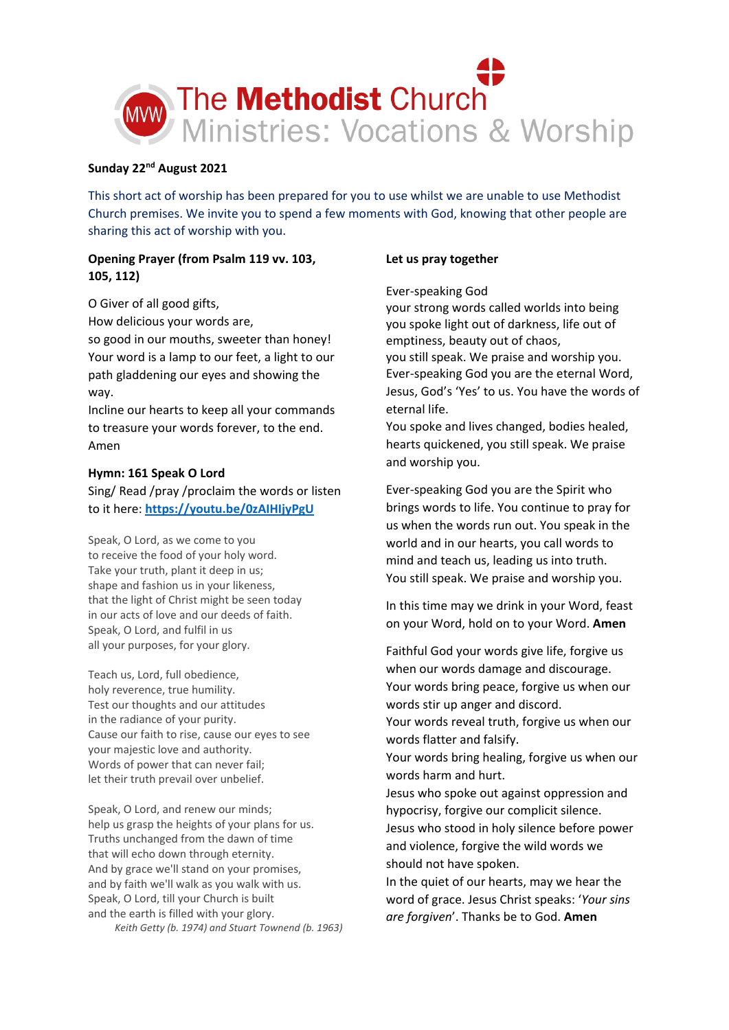

## **Sunday 22nd August 2021**

This short act of worship has been prepared for you to use whilst we are unable to use Methodist Church premises. We invite you to spend a few moments with God, knowing that other people are sharing this act of worship with you.

# **Opening Prayer (from Psalm 119 vv. 103, 105, 112)**

O Giver of all good gifts,

How delicious your words are,

so good in our mouths, sweeter than honey! Your word is a lamp to our feet, a light to our path gladdening our eyes and showing the way.

Incline our hearts to keep all your commands to treasure your words forever, to the end. Amen

## **Hymn: 161 Speak O Lord**

Sing/ Read /pray /proclaim the words or listen to it here: **<https://youtu.be/0zAIHIjyPgU>**

Speak, O Lord, as we come to you to receive the food of your holy word. Take your truth, plant it deep in us; shape and fashion us in your likeness, that the light of Christ might be seen today in our acts of love and our deeds of faith. Speak, O Lord, and fulfil in us all your purposes, for your glory.

Teach us, Lord, full obedience, holy reverence, true humility. Test our thoughts and our attitudes in the radiance of your purity. Cause our faith to rise, cause our eyes to see your majestic love and authority. Words of power that can never fail; let their truth prevail over unbelief.

Speak, O Lord, and renew our minds; help us grasp the heights of your plans for us. Truths unchanged from the dawn of time that will echo down through eternity. And by grace we'll stand on your promises, and by faith we'll walk as you walk with us. Speak, O Lord, till your Church is built and the earth is filled with your glory.

*Keith Getty (b. 1974) and Stuart Townend (b. 1963)*

## **Let us pray together**

### Ever-speaking God

your strong words called worlds into being you spoke light out of darkness, life out of emptiness, beauty out of chaos, you still speak. We praise and worship you. Ever-speaking God you are the eternal Word, Jesus, God's 'Yes' to us. You have the words of eternal life.

You spoke and lives changed, bodies healed, hearts quickened, you still speak. We praise and worship you.

Ever-speaking God you are the Spirit who brings words to life. You continue to pray for us when the words run out. You speak in the world and in our hearts, you call words to mind and teach us, leading us into truth. You still speak. We praise and worship you.

In this time may we drink in your Word, feast on your Word, hold on to your Word. **Amen**

Faithful God your words give life, forgive us when our words damage and discourage. Your words bring peace, forgive us when our words stir up anger and discord.

Your words reveal truth, forgive us when our words flatter and falsify.

Your words bring healing, forgive us when our words harm and hurt.

Jesus who spoke out against oppression and hypocrisy, forgive our complicit silence. Jesus who stood in holy silence before power and violence, forgive the wild words we should not have spoken.

In the quiet of our hearts, may we hear the word of grace. Jesus Christ speaks: '*Your sins are forgiven*'. Thanks be to God. **Amen**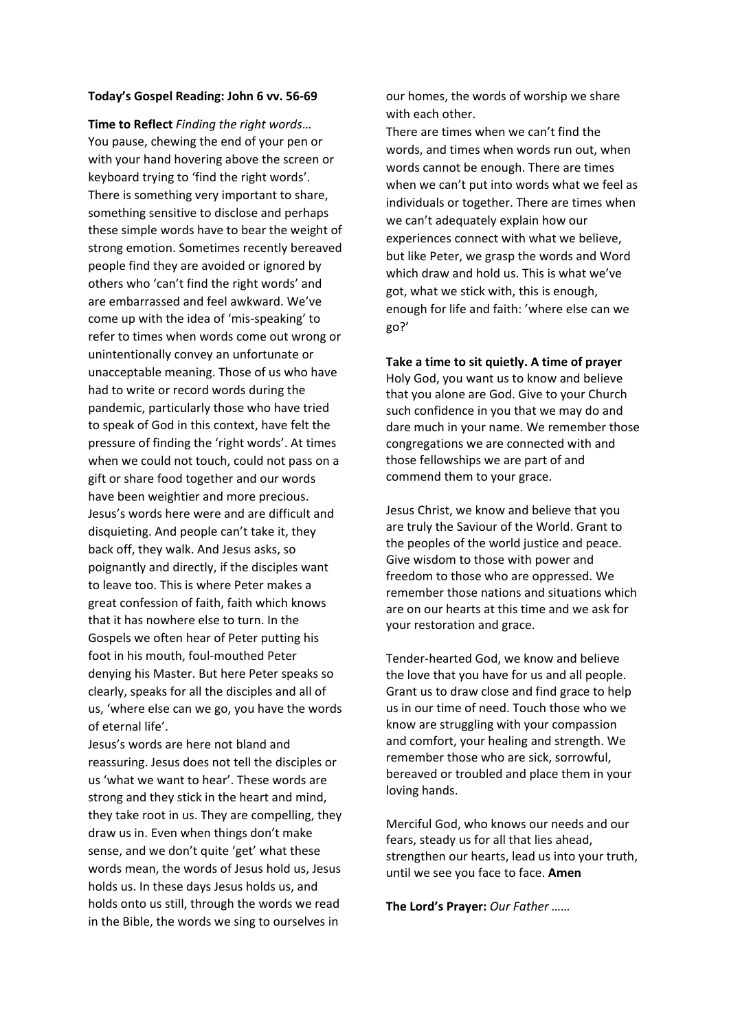#### **Today's Gospel Reading: John 6 vv. 56-69**

**Time to Reflect** *Finding the right words*… You pause, chewing the end of your pen or with your hand hovering above the screen or keyboard trying to 'find the right words'. There is something very important to share, something sensitive to disclose and perhaps these simple words have to bear the weight of strong emotion. Sometimes recently bereaved people find they are avoided or ignored by others who 'can't find the right words' and are embarrassed and feel awkward. We've come up with the idea of 'mis-speaking' to refer to times when words come out wrong or unintentionally convey an unfortunate or unacceptable meaning. Those of us who have had to write or record words during the pandemic, particularly those who have tried to speak of God in this context, have felt the pressure of finding the 'right words'. At times when we could not touch, could not pass on a gift or share food together and our words have been weightier and more precious. Jesus's words here were and are difficult and disquieting. And people can't take it, they back off, they walk. And Jesus asks, so poignantly and directly, if the disciples want to leave too. This is where Peter makes a great confession of faith, faith which knows that it has nowhere else to turn. In the Gospels we often hear of Peter putting his foot in his mouth, foul-mouthed Peter denying his Master. But here Peter speaks so clearly, speaks for all the disciples and all of us, 'where else can we go, you have the words of eternal life'.

Jesus's words are here not bland and reassuring. Jesus does not tell the disciples or us 'what we want to hear'. These words are strong and they stick in the heart and mind, they take root in us. They are compelling, they draw us in. Even when things don't make sense, and we don't quite 'get' what these words mean, the words of Jesus hold us, Jesus holds us. In these days Jesus holds us, and holds onto us still, through the words we read in the Bible, the words we sing to ourselves in

our homes, the words of worship we share with each other.

There are times when we can't find the words, and times when words run out, when words cannot be enough. There are times when we can't put into words what we feel as individuals or together. There are times when we can't adequately explain how our experiences connect with what we believe, but like Peter, we grasp the words and Word which draw and hold us. This is what we've got, what we stick with, this is enough, enough for life and faith: 'where else can we go?'

**Take a time to sit quietly. A time of prayer** Holy God, you want us to know and believe that you alone are God. Give to your Church such confidence in you that we may do and dare much in your name. We remember those congregations we are connected with and those fellowships we are part of and commend them to your grace.

Jesus Christ, we know and believe that you are truly the Saviour of the World. Grant to the peoples of the world justice and peace. Give wisdom to those with power and freedom to those who are oppressed. We remember those nations and situations which are on our hearts at this time and we ask for your restoration and grace.

Tender-hearted God, we know and believe the love that you have for us and all people. Grant us to draw close and find grace to help us in our time of need. Touch those who we know are struggling with your compassion and comfort, your healing and strength. We remember those who are sick, sorrowful, bereaved or troubled and place them in your loving hands.

Merciful God, who knows our needs and our fears, steady us for all that lies ahead, strengthen our hearts, lead us into your truth, until we see you face to face. **Amen**

**The Lord's Prayer:** *Our Father ……*